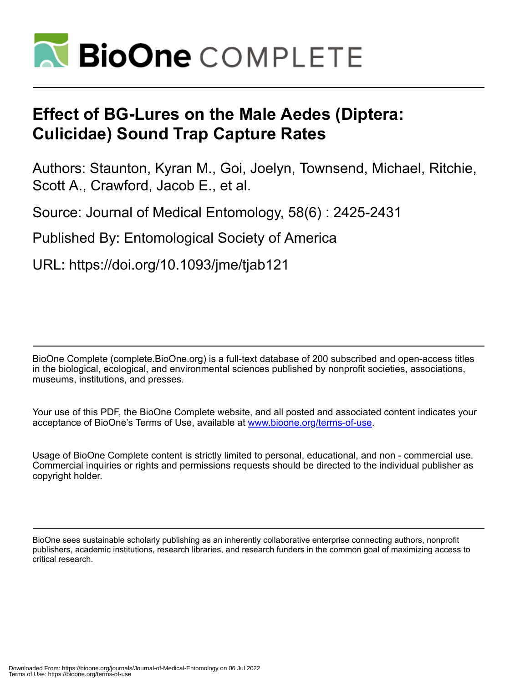

# **Effect of BG-Lures on the Male Aedes (Diptera: Culicidae) Sound Trap Capture Rates**

Authors: Staunton, Kyran M., Goi, Joelyn, Townsend, Michael, Ritchie, Scott A., Crawford, Jacob E., et al.

Source: Journal of Medical Entomology, 58(6) : 2425-2431

Published By: Entomological Society of America

URL: https://doi.org/10.1093/jme/tjab121

BioOne Complete (complete.BioOne.org) is a full-text database of 200 subscribed and open-access titles in the biological, ecological, and environmental sciences published by nonprofit societies, associations, museums, institutions, and presses.

Your use of this PDF, the BioOne Complete website, and all posted and associated content indicates your acceptance of BioOne's Terms of Use, available at www.bioone.org/terms-of-use.

Usage of BioOne Complete content is strictly limited to personal, educational, and non - commercial use. Commercial inquiries or rights and permissions requests should be directed to the individual publisher as copyright holder.

BioOne sees sustainable scholarly publishing as an inherently collaborative enterprise connecting authors, nonprofit publishers, academic institutions, research libraries, and research funders in the common goal of maximizing access to critical research.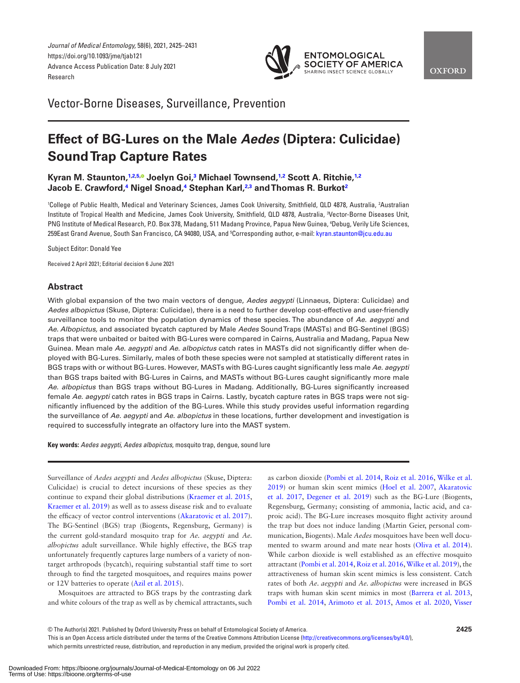*Journal of Medical Entomology,* 58(6), 2021, 2425–2431 https://doi.org/10.1093/jme/tjab121 Advance Access Publication Date: 8 July 2021 Research

<span id="page-1-2"></span>

Vector-Borne Diseases, Surveillance, Prevention

# **Effect of BG-Lures on the Male** *Aedes* **(Diptera: Culicidae) Sound Trap Capture Rates**

# **Kyran M. Staunton,[1,](#page-1-0)[2](#page-1-1)[,5](#page-1-2)[,](https://orcid.org/0000-0001-6812-3320) Joelyn Goi,[3](#page-1-3) Michael Townsend,[1,](#page-1-0)[2](#page-1-1) Scott A. Ritchie,[1](#page-1-0),[2](#page-1-1) Jacob E. Crawford,[4](#page-1-4) Nigel Snoad,[4](#page-1-4) Stephan Karl[,2](#page-1-1)[,3](#page-1-3) and Thomas R. Burko[t2](#page-1-1)**

<span id="page-1-4"></span><span id="page-1-3"></span><span id="page-1-1"></span><span id="page-1-0"></span><sup>1</sup>College of Public Health, Medical and Veterinary Sciences, James Cook University, Smithfield, QLD 4878, Australia, <sup>2</sup>Australian Institute of Tropical Health and Medicine, James Cook University, Smithfield, QLD 4878, Australia, 3 Vector-Borne Diseases Unit, PNG Institute of Medical Research, P.O. Box 378, Madang, 511 Madang Province, Papua New Guinea, 4 Debug, Verily Life Sciences, 259East Grand Avenue, South San Francisco, CA 94080, USA, and <sup>5</sup>Corresponding author, e-mail: [kyran.staunton@jcu.edu.au](mailto:kyran.staunton@jcu.edu.au?subject=)

Subject Editor: Donald Yee

Received 2 April 2021; Editorial decision 6 June 2021

# **Abstract**

With global expansion of the two main vectors of dengue, *Aedes aegypti* (Linnaeus, Diptera: Culicidae) and *Aedes albopictus* (Skuse, Diptera: Culicidae), there is a need to further develop cost-effective and user-friendly surveillance tools to monitor the population dynamics of these species. The abundance of *Ae. aegypti* and *Ae. Albopictus,* and associated bycatch captured by Male *Aedes* Sound Traps (MASTs) and BG-Sentinel (BGS) traps that were unbaited or baited with BG-Lures were compared in Cairns, Australia and Madang, Papua New Guinea. Mean male *Ae. aegypti* and *Ae. albopictus* catch rates in MASTs did not significantly differ when deployed with BG-Lures. Similarly, males of both these species were not sampled at statistically different rates in BGS traps with or without BG-Lures. However, MASTs with BG-Lures caught significantly less male *Ae. aegypti* than BGS traps baited with BG-Lures in Cairns, and MASTs without BG-Lures caught significantly more male *Ae. albopictus* than BGS traps without BG-Lures in Madang. Additionally, BG-Lures significantly increased female *Ae. aegypti* catch rates in BGS traps in Cairns. Lastly, bycatch capture rates in BGS traps were not significantly influenced by the addition of the BG-Lures. While this study provides useful information regarding the surveillance of *Ae. aegypti* and *Ae. albopictus* in these locations, further development and investigation is required to successfully integrate an olfactory lure into the MAST system.

**Key words:** *Aedes aegypti*, *Aedes albopictus*, mosquito trap, dengue, sound lure

Surveillance of *Aedes aegypti* and *Aedes albopictus* (Skuse, Diptera: Culicidae) is crucial to detect incursions of these species as they continue to expand their global distributions ([Kraemer et al. 2015,](#page-6-0) [Kraemer et al. 2019](#page-6-1)) as well as to assess disease risk and to evaluate the efficacy of vector control interventions [\(Akaratovic et al. 2017](#page-6-2)). The BG-Sentinel (BGS) trap (Biogents, Regensburg, Germany) is the current gold-standard mosquito trap for *Ae. aegypti* and *Ae. albopictus* adult surveillance. While highly effective, the BGS trap unfortunately frequently captures large numbers of a variety of nontarget arthropods (bycatch), requiring substantial staff time to sort through to find the targeted mosquitoes, and requires mains power or 12V batteries to operate ([Azil et al. 2015](#page-6-3)).

Mosquitoes are attracted to BGS traps by the contrasting dark and white colours of the trap as well as by chemical attractants, such

as carbon dioxide ([Pombi et al. 2014](#page-6-4), [Roiz et al. 2016,](#page-6-5) [Wilke et al.](#page-7-0)  [2019](#page-7-0)) or human skin scent mimics ([Hoel et al. 2007](#page-6-6), [Akaratovic](#page-6-2)  [et al. 2017,](#page-6-2) [Degener et al. 2019\)](#page-6-7) such as the BG-Lure (Biogents, Regensburg, Germany; consisting of ammonia, lactic acid, and caproic acid). The BG-Lure increases mosquito flight activity around the trap but does not induce landing (Martin Geier, personal communication, Biogents). Male *Aedes* mosquitoes have been well documented to swarm around and mate near hosts ([Oliva et al. 2014](#page-6-8)). While carbon dioxide is well established as an effective mosquito attractant ([Pombi et al. 2014,](#page-6-4) [Roiz et al. 2016](#page-6-5), [Wilke et al. 2019\)](#page-7-0), the attractiveness of human skin scent mimics is less consistent. Catch rates of both *Ae. aegypti* and *Ae. albopictus* were increased in BGS traps with human skin scent mimics in most [\(Barrera et al. 2013,](#page-6-9) [Pombi et al. 2014](#page-6-4), [Arimoto et al. 2015,](#page-6-10) [Amos et al. 2020](#page-6-11), [Visser](#page-7-1) 

This is an Open Access article distributed under the terms of the Creative Commons Attribution License (<http://creativecommons.org/licenses/by/4.0/>), which permits unrestricted reuse, distribution, and reproduction in any medium, provided the original work is properly cited.

<sup>©</sup> The Author(s) 2021. Published by Oxford University Press on behalf of Entomological Society of America.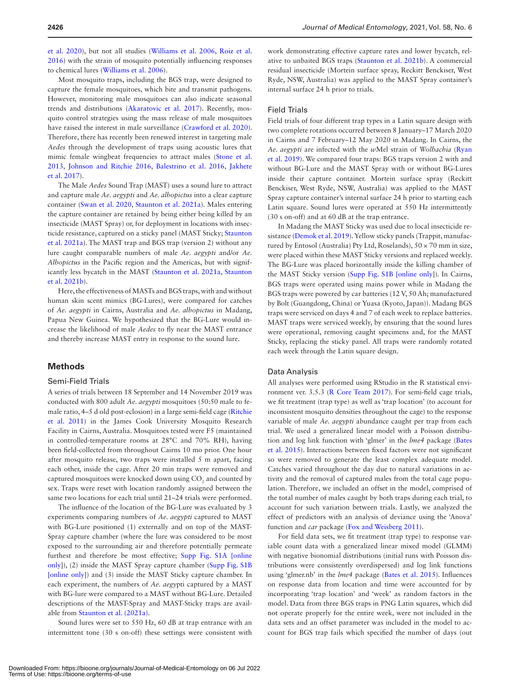[et al. 2020\)](#page-7-1), but not all studies [\(Williams et al. 2006](#page-7-2), [Roiz et al.](#page-6-5)  [2016](#page-6-5)) with the strain of mosquito potentially influencing responses to chemical lures ([Williams et al. 2006](#page-7-2)).

Most mosquito traps, including the BGS trap, were designed to capture the female mosquitoes, which bite and transmit pathogens. However, monitoring male mosquitoes can also indicate seasonal trends and distributions ([Akaratovic et al. 2017\)](#page-6-2). Recently, mosquito control strategies using the mass release of male mosquitoes have raised the interest in male surveillance ([Crawford et al. 2020](#page-6-12)). Therefore, there has recently been renewed interest in targeting male *Aedes* through the development of traps using acoustic lures that mimic female wingbeat frequencies to attract males ([Stone et al.](#page-7-3)  [2013](#page-7-3), [Johnson and Ritchie 2016](#page-6-13), [Balestrino et al. 2016](#page-6-14), [Jakhete](#page-6-15)  [et al. 2017](#page-6-15)).

The Male *Aedes* Sound Trap (MAST) uses a sound lure to attract and capture male *Ae. aegypti* and *Ae. albopictus* into a clear capture container [\(Swan et al. 2020,](#page-7-4) [Staunton et al. 2021a](#page-7-5)). Males entering the capture container are retained by being either being killed by an insecticide (MAST Spray) or, for deployment in locations with insecticide resistance, captured on a sticky panel (MAST Sticky; [Staunton](#page-7-5)  [et al. 2021a](#page-7-5)). The MAST trap and BGS trap (version 2) without any lure caught comparable numbers of male *Ae. aegypti* and/or *Ae. Albopictus* in the Pacific region and the Americas, but with significantly less bycatch in the MAST ([Staunton et al. 2021a,](#page-7-5) [Staunton](#page-7-6)  [et al. 2021b\)](#page-7-6).

Here, the effectiveness of MASTs and BGS traps, with and without human skin scent mimics (BG-Lures), were compared for catches of *Ae. aegypti* in Cairns, Australia and *Ae. albopictus* in Madang, Papua New Guinea. We hypothesized that the BG-Lure would increase the likelihood of male *Aedes* to fly near the MAST entrance and thereby increase MAST entry in response to the sound lure.

#### **Methods**

#### Semi-Field Trials

A series of trials between 18 September and 14 November 2019 was conducted with 800 adult *Ae. aegypti* mosquitoes (50:50 male to female ratio, 4–5 d old post-eclosion) in a large semi-field cage [\(Ritchie](#page-6-16)  [et al. 2011](#page-6-16)) in the James Cook University Mosquito Research Facility in Cairns, Australia. Mosquitoes tested were F5 (maintained in controlled-temperature rooms at 28°C and 70% RH), having been field-collected from throughout Cairns 10 mo prior. One hour after mosquito release, two traps were installed 5 m apart, facing each other, inside the cage. After 20 min traps were removed and captured mosquitoes were knocked down using  $\mathrm{CO}_2$  and counted by sex. Traps were reset with location randomly assigned between the same two locations for each trial until 21–24 trials were performed.

The influence of the location of the BG-Lure was evaluated by 3 experiments comparing numbers of *Ae. aegypti* captured to MAST with BG-Lure positioned (1) externally and on top of the MAST-Spray capture chamber (where the lure was considered to be most exposed to the surrounding air and therefore potentially permeate furthest and therefore be most effective; [Supp Fig. S1A \[online](http://academic.oup.com/jme/article-lookup/doi/10.1093/jme/tjab121#supplementary-data)  [only\]](http://academic.oup.com/jme/article-lookup/doi/10.1093/jme/tjab121#supplementary-data)), (2) inside the MAST Spray capture chamber ([Supp Fig. S1B](http://academic.oup.com/jme/article-lookup/doi/10.1093/jme/tjab121#supplementary-data)  [\[online only\]](http://academic.oup.com/jme/article-lookup/doi/10.1093/jme/tjab121#supplementary-data)) and (3) inside the MAST Sticky capture chamber. In each experiment, the numbers of *Ae. aegy*pti captured by a MAST with BG-lure were compared to a MAST without BG-Lure. Detailed descriptions of the MAST-Spray and MAST-Sticky traps are available from [Staunton et al. \(2021a\)](#page-7-5).

Sound lures were set to 550 Hz, 60 dB at trap entrance with an intermittent tone (30 s on-off) these settings were consistent with

work demonstrating effective capture rates and lower bycatch, relative to unbaited BGS traps [\(Staunton et al. 2021b](#page-7-6)). A commercial residual insecticide (Mortein surface spray, Reckitt Benckiser, West Ryde, NSW, Australia) was applied to the MAST Spray container's internal surface 24 h prior to trials.

#### Field Trials

Field trials of four different trap types in a Latin square design with two complete rotations occurred between 8 January–17 March 2020 in Cairns and 7 February–12 May 2020 in Madang. In Cairns, the *Ae. aegypti* are infected with the *w*Mel strain of *Wolbachia* ([Ryan](#page-6-17)  [et al. 2019](#page-6-17)). We compared four traps: BGS traps version 2 with and without BG-Lure and the MAST Spray with or without BG-Lures inside their capture container. Mortein surface spray (Reckitt Benckiser, West Ryde, NSW, Australia) was applied to the MAST Spray capture container's internal surface 24 h prior to starting each Latin square. Sound lures were operated at 550 Hz intermittently (30 s on-off) and at 60 dB at the trap entrance.

In Madang the MAST Sticky was used due to local insecticide resistance ([Demok et al. 2019\)](#page-6-18). Yellow sticky panels (Trappit, manufactured by Entosol (Australia) Pty Ltd, Roselands),  $50 \times 70$  mm in size, were placed within these MAST Sticky versions and replaced weekly. The BG-Lure was placed horizontally inside the killing chamber of the MAST Sticky version [\(Supp Fig. S1B \[online only\]](http://academic.oup.com/jme/article-lookup/doi/10.1093/jme/tjab121#supplementary-data)). In Cairns, BGS traps were operated using mains power while in Madang the BGS traps were powered by car batteries (12 V, 50 Ah; manufactured by Bolt (Guangdong, China) or Yuasa (Kyoto, Japan)). Madang BGS traps were serviced on days 4 and 7 of each week to replace batteries. MAST traps were serviced weekly, by ensuring that the sound lures were operational, removing caught specimens and, for the MAST Sticky, replacing the sticky panel. All traps were randomly rotated each week through the Latin square design.

#### Data Analysis

All analyses were performed using RStudio in the R statistical environment ver. 3.5.3 [\(R Core Team 2017\)](#page-6-19). For semi-field cage trials, we fit treatment (trap type) as well as 'trap location' (to account for inconsistent mosquito densities throughout the cage) to the response variable of male *Ae. aegypti* abundance caught per trap from each trial. We used a generalized linear model with a Poisson distribution and log link function with 'glmer' in the *lme4* package [\(Bates](#page-6-20)  [et al. 2015](#page-6-20)). Interactions between fixed factors were not significant so were removed to generate the least complex adequate model. Catches varied throughout the day due to natural variations in activity and the removal of captured males from the total cage population. Therefore, we included an offset in the model, comprised of the total number of males caught by both traps during each trial, to account for such variation between trials. Lastly, we analyzed the effect of predictors with an analysis of deviance using the 'Anova' function and *car* package ([Fox and Weisberg 2011](#page-6-21)).

For field data sets, we fit treatment (trap type) to response variable count data with a generalized linear mixed model (GLMM) with negative bionomial distributions (initial runs with Poisson distributions were consistently overdispersed) and log link functions using 'glmer.nb' in the *lme4* package [\(Bates et al. 2015](#page-6-20)). Influences on response data from location and time were accounted for by incorporating 'trap location' and 'week' as random factors in the model. Data from three BGS traps in PNG Latin squares, which did not operate properly for the entire week, were not included in the data sets and an offset parameter was included in the model to account for BGS trap fails which specified the number of days (out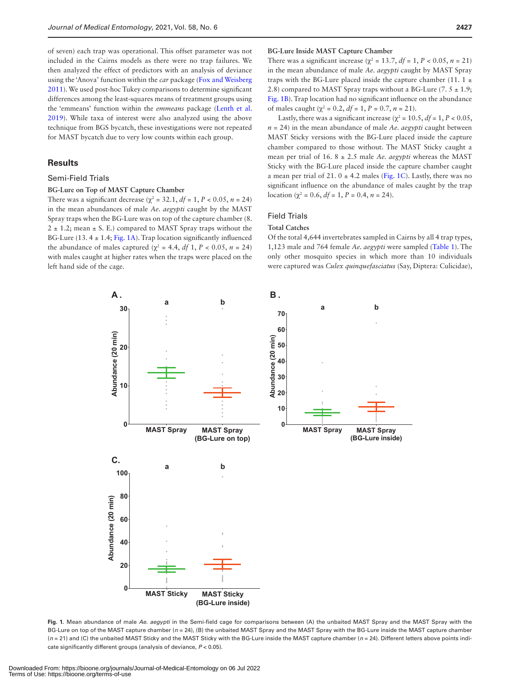of seven) each trap was operational. This offset parameter was not included in the Cairns models as there were no trap failures. We then analyzed the effect of predictors with an analysis of deviance using the 'Anova' function within the *car* package ([Fox and Weisberg](#page-6-21)  [2011](#page-6-21)). We used post-hoc Tukey comparisons to determine significant differences among the least-squares means of treatment groups using the 'emmeans' function within the *emmeans* package ([Lenth et al.](#page-6-22)  [2019](#page-6-22)). While taxa of interest were also analyzed using the above technique from BGS bycatch, these investigations were not repeated for MAST bycatch due to very low counts within each group.

#### **Results**

#### Semi-Field Trials

#### **BG-Lure on Top of MAST Capture Chamber**

There was a significant decrease ( $\chi^2$  = 32.1,  $df$  = 1,  $P$  < 0.05,  $n$  = 24) in the mean abundances of male *Ae. aegypti* caught by the MAST Spray traps when the BG-Lure was on top of the capture chamber (8.  $2 \pm 1.2$ ; mean  $\pm$  S. E.) compared to MAST Spray traps without the BG-Lure (13.  $4 \pm 1.4$ ; [Fig. 1A](#page-3-0)). Trap location significantly influenced the abundance of males captured ( $χ$ <sup>2</sup> = 4.4, *df* 1, *P* < 0.05, *n* = 24) with males caught at higher rates when the traps were placed on the left hand side of the cage.

#### **BG-Lure Inside MAST Capture Chamber**

There was a significant increase ( $\chi^2 = 13.7$ ,  $df = 1$ ,  $P < 0.05$ ,  $n = 21$ ) in the mean abundance of male *Ae. aegypti* caught by MAST Spray traps with the BG-Lure placed inside the capture chamber (11.  $1 \pm$ 2.8) compared to MAST Spray traps without a BG-Lure  $(7.5 \pm 1.9)$ ; [Fig. 1B](#page-3-0)). Trap location had no significant influence on the abundance of males caught ( $\chi^2 = 0.2$ ,  $df = 1$ ,  $P = 0.7$ ,  $n = 21$ ).

Lastly, there was a significant increase ( $\chi^2$  = 10.5,  $df = 1$ ,  $P < 0.05$ ,  $n = 24$ ) in the mean abundance of male *Ae. aegypti* caught between MAST Sticky versions with the BG-Lure placed inside the capture chamber compared to those without. The MAST Sticky caught a mean per trial of 16. 8 ± 2.5 male *Ae. aegypti* whereas the MAST Sticky with the BG-Lure placed inside the capture chamber caught a mean per trial of 21.  $0 \pm 4.2$  males [\(Fig. 1C\)](#page-3-0). Lastly, there was no significant influence on the abundance of males caught by the trap location ( $χ$ <sup>2</sup> = 0.6,  $df$  = 1,  $P$  = 0.4,  $n$  = 24).

## Field Trials

#### **Total Catches**

Of the total 4,644 invertebrates sampled in Cairns by all 4 trap types, 1,123 male and 764 female *Ae. aegypti* were sampled [\(Table 1\)](#page-4-0). The only other mosquito species in which more than 10 individuals were captured was *Culex quinquefasciatus* (Say, Diptera: Culicidae),



<span id="page-3-0"></span>**Fig. 1.** Mean abundance of male *Ae. aegypti* in the Semi-field cage for comparisons between (A) the unbaited MAST Spray and the MAST Spray with the BG-Lure on top of the MAST capture chamber (*n* = 24), (B) the unbaited MAST Spray and the MAST Spray with the BG-Lure inside the MAST capture chamber ( $n = 21$ ) and (C) the unbaited MAST Sticky and the MAST Sticky with the BG-Lure inside the MAST capture chamber ( $n = 24$ ). Different letters above points indicate significantly different groups (analysis of deviance, *P* < 0.05).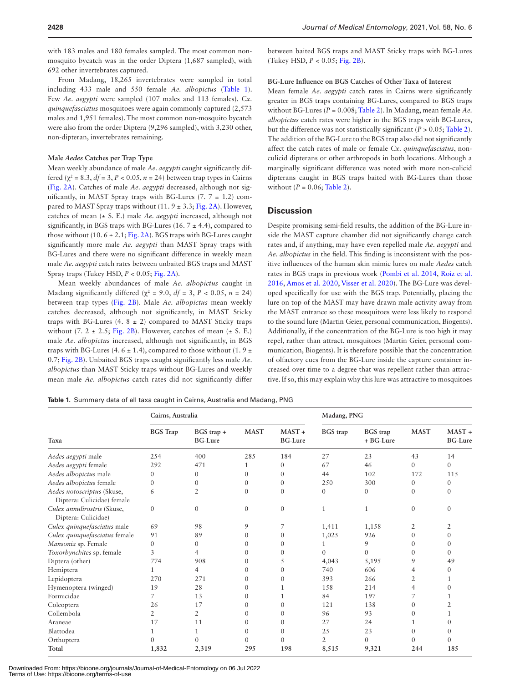with 183 males and 180 females sampled. The most common nonmosquito bycatch was in the order Diptera (1,687 sampled), with 692 other invertebrates captured.

From Madang, 18,265 invertebrates were sampled in total including 433 male and 550 female *Ae. albopictus* ([Table 1](#page-4-0)). Few *Ae. aegypti* were sampled (107 males and 113 females). *Cx. quinquefasciatus* mosquitoes were again commonly captured (2,573 males and 1,951 females). The most common non-mosquito bycatch were also from the order Diptera (9,296 sampled), with 3,230 other, non-dipteran, invertebrates remaining.

#### **Male** *Aedes* **Catches per Trap Type**

Mean weekly abundance of male *Ae. aegypti* caught significantly differed  $(\chi^2 = 8.3, df = 3, P < 0.05, n = 24)$  between trap types in Cairns [\(Fig. 2A\)](#page-5-0). Catches of male *Ae. aegypti* decreased, although not significantly, in MAST Spray traps with BG-Lures  $(7. 7 \pm 1.2)$  compared to MAST Spray traps without  $(11.9 \pm 3.3; Fig. 2A)$  $(11.9 \pm 3.3; Fig. 2A)$  $(11.9 \pm 3.3; Fig. 2A)$ . However, catches of mean (± S. E.) male *Ae. aegypti* increased, although not significantly, in BGS traps with BG-Lures (16,  $7 \pm 4.4$ ), compared to those without (10.  $6 \pm 2.1$ ; [Fig. 2A](#page-5-0)). BGS traps with BG-Lures caught significantly more male *Ae. aegypti* than MAST Spray traps with BG-Lures and there were no significant difference in weekly mean male *Ae. aegypti* catch rates between unbaited BGS traps and MAST Spray traps (Tukey HSD, *P* < 0.05; [Fig. 2A](#page-5-0)).

Mean weekly abundances of male *Ae. albopictus* caught in Madang significantly differed ( $\chi^2$  = 9.0,  $df$  = 3,  $P$  < 0.05,  $n = 24$ ) between trap types [\(Fig. 2B](#page-5-0)). Male *Ae. albopictus* mean weekly catches decreased, although not significantly, in MAST Sticky traps with BG-Lures (4.  $8 \pm 2$ ) compared to MAST Sticky traps without (7.  $2 \pm 2.5$ ; [Fig. 2B\)](#page-5-0). However, catches of mean ( $\pm$  S. E.) male *Ae. albopictus* increased, although not significantly, in BGS traps with BG-Lures (4. 6  $\pm$  1.4), compared to those without (1. 9  $\pm$ 0.7; [Fig. 2B](#page-5-0)). Unbaited BGS traps caught significantly less male *Ae. albopictus* than MAST Sticky traps without BG-Lures and weekly mean male *Ae. albopictus* catch rates did not significantly differ

between baited BGS traps and MAST Sticky traps with BG-Lures (Tukey HSD, *P* < 0.05; [Fig. 2B\)](#page-5-0).

#### **BG-Lure Influence on BGS Catches of Other Taxa of Interest**

Mean female *Ae. aegypti* catch rates in Cairns were significantly greater in BGS traps containing BG-Lures, compared to BGS traps without BG-Lures (*P* = 0.008; [Table 2\)](#page-5-1). In Madang, mean female *Ae. albopictus* catch rates were higher in the BGS traps with BG-Lures, but the difference was not statistically significant  $(P > 0.05;$  [Table 2](#page-5-1)). The addition of the BG-Lure to the BGS trap also did not significantly affect the catch rates of male or female *Cx. quinquefasciatus*, nonculicid dipterans or other arthropods in both locations. Although a marginally significant difference was noted with more non-culicid dipterans caught in BGS traps baited with BG-Lures than those without  $(P = 0.06;$  [Table 2\)](#page-5-1).

#### **Discussion**

Despite promising semi-field results, the addition of the BG-Lure inside the MAST capture chamber did not significantly change catch rates and, if anything, may have even repelled male *Ae. aegypti* and *Ae. albopictus* in the field. This finding is inconsistent with the positive influences of the human skin mimic lures on male *Aedes* catch rates in BGS traps in previous work ([Pombi et al. 2014](#page-6-4), [Roiz et al.](#page-6-5)  [2016](#page-6-5), [Amos et al. 2020](#page-6-11), [Visser et al. 2020\)](#page-7-1). The BG-Lure was developed specifically for use with the BGS trap. Potentially, placing the lure on top of the MAST may have drawn male activity away from the MAST entrance so these mosquitoes were less likely to respond to the sound lure (Martin Geier, personal communication, Biogents). Additionally, if the concentration of the BG-Lure is too high it may repel, rather than attract, mosquitoes (Martin Geier, personal communication, Biogents). It is therefore possible that the concentration of olfactory cues from the BG-Lure inside the capture container increased over time to a degree that was repellent rather than attractive. If so, this may explain why this lure was attractive to mosquitoes

<span id="page-4-0"></span>

|  |  |  |  |  | Table 1. Summary data of all taxa caught in Cairns, Australia and Madang, PNG |
|--|--|--|--|--|-------------------------------------------------------------------------------|
|--|--|--|--|--|-------------------------------------------------------------------------------|

|                                                          | Cairns, Australia |                                |              |                            | Madang, PNG     |                              |                |                            |
|----------------------------------------------------------|-------------------|--------------------------------|--------------|----------------------------|-----------------|------------------------------|----------------|----------------------------|
| Taxa                                                     | <b>BGS</b> Trap   | $BGS$ trap +<br><b>BG-Lure</b> | <b>MAST</b>  | $MAST +$<br><b>BG-Lure</b> | <b>BGS</b> trap | <b>BGS</b> trap<br>+ BG-Lure | <b>MAST</b>    | $MAST +$<br><b>BG-Lure</b> |
| Aedes aegypti male                                       | 254               | 400                            | 285          | 184                        | 27              | 23                           | 43             | 14                         |
| Aedes aegypti female                                     | 292               | 471                            |              | $\Omega$                   | 67              | 46                           | $\Omega$       | $\Omega$                   |
| Aedes albopictus male                                    | 0                 | $\overline{0}$                 | $\Omega$     | $\mathbf{0}$               | 44              | 102                          | 172            | 115                        |
| Aedes albopictus female                                  | $\Omega$          | $\mathbf{0}$                   | 0            | $\Omega$                   | 250             | 300                          | $\mathbf{0}$   | $\mathbf{0}$               |
| Aedes notoscriptus (Skuse,<br>Diptera: Culicidae) female | 6                 | $\overline{2}$                 | $\Omega$     | $\Omega$                   | $\Omega$        | $\mathbf{0}$                 | $\mathbf{0}$   | $\mathbf{0}$               |
| Culex annulirostris (Skuse,<br>Diptera: Culicidae)       | $\mathbf{0}$      | $\mathbf{0}$                   | $\mathbf{0}$ | $\mathbf{0}$               | $\mathbf{1}$    | $\mathbf{1}$                 | $\Omega$       | $\Omega$                   |
| Culex quinquefasciatus male                              | 69                | 98                             | 9            | 7                          | 1,411           | 1,158                        | 2              | 2                          |
| Culex quinquefasciatus female                            | 91                | 89                             | $\Omega$     | $\Omega$                   | 1,025           | 926                          | $\Omega$       | $\Omega$                   |
| Mansonia sp. Female                                      | $\mathbf{0}$      | $\mathbf{0}$                   | 0            | $\Omega$                   | 1               | 9                            | $\Omega$       | $\Omega$                   |
| Toxorhynchites sp. female                                | 3                 | 4                              | $\Omega$     | $\Omega$                   | $\theta$        | $\theta$                     | $\mathbf{0}$   | $\Omega$                   |
| Diptera (other)                                          | 774               | 908                            | 0            | 5                          | 4,043           | 5,195                        | 9              | 49                         |
| Hemiptera                                                | 1                 | 4                              | 0            | $\theta$                   | 740             | 606                          | 4              | $\Omega$                   |
| Lepidoptera                                              | 270               | 271                            | $\theta$     | $\Omega$                   | 393             | 266                          | 2              |                            |
| Hymenoptera (winged)                                     | 19                | 28                             | $\Omega$     |                            | 158             | 214                          | $\overline{4}$ | 0                          |
| Formicidae                                               | 7                 | 13                             | $\theta$     |                            | 84              | 197                          | 7              |                            |
| Coleoptera                                               | 26                | 17                             | $\theta$     | $\Omega$                   | 121             | 138                          | $\mathbf{0}$   |                            |
| Collembola                                               | 2                 | $\overline{2}$                 | $\Omega$     | $\Omega$                   | 96              | 93                           | $\Omega$       |                            |
| Araneae                                                  | 17                | 11                             | $\theta$     | $\Omega$                   | 27              | 24                           | 1              | $\Omega$                   |
| Blattodea                                                |                   | 1                              | $\Omega$     | $\Omega$                   | 25              | 23                           | $\Omega$       | $\Omega$                   |
| Orthoptera                                               | $\theta$          | $\theta$                       | $\theta$     | $\Omega$                   | 2               | $\Omega$                     | 0              | 0                          |
| Total                                                    | 1,832             | 2,319                          | 295          | 198                        | 8,515           | 9,321                        | 244            | 185                        |

Downloaded From: https://bioone.org/journals/Journal-of-Medical-Entomology on 06 Jul 2022 Terms of Use: https://bioone.org/terms-of-use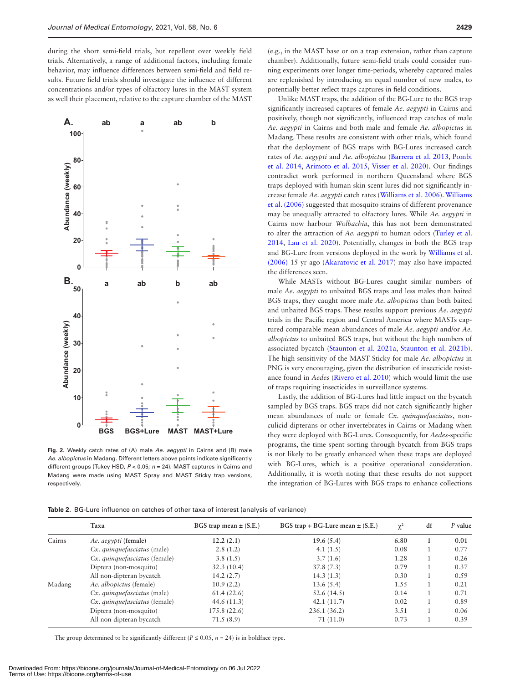during the short semi-field trials, but repellent over weekly field trials. Alternatively, a range of additional factors, including female behavior, may influence differences between semi-field and field results. Future field trials should investigate the influence of different concentrations and/or types of olfactory lures in the MAST system as well their placement, relative to the capture chamber of the MAST



<span id="page-5-0"></span>**Fig. 2.** Weekly catch rates of (A) male *Ae. aegypti* in Cairns and (B) male *Ae. albopictus* in Madang. Different letters above points indicate significantly different groups (Tukey HSD, *P* < 0.05; *n* = 24). MAST captures in Cairns and Madang were made using MAST Spray and MAST Sticky trap versions, respectively.

(e.g., in the MAST base or on a trap extension, rather than capture chamber). Additionally, future semi-field trials could consider running experiments over longer time-periods, whereby captured males are replenished by introducing an equal number of new males, to potentially better reflect traps captures in field conditions.

Unlike MAST traps, the addition of the BG-Lure to the BGS trap significantly increased captures of female *Ae. aegypti* in Cairns and positively, though not significantly, influenced trap catches of male *Ae. aegypti* in Cairns and both male and female *Ae. albopictus* in Madang. These results are consistent with other trials, which found that the deployment of BGS traps with BG-Lures increased catch rates of *Ae. aegypti* and *Ae. albopictus* ([Barrera et al. 2013,](#page-6-9) [Pombi](#page-6-4)  [et al. 2014](#page-6-4), [Arimoto et al. 2015](#page-6-10), [Visser et al. 2020](#page-7-1)). Our findings contradict work performed in northern Queensland where BGS traps deployed with human skin scent lures did not significantly increase female *Ae. aegypti* catch rates [\(Williams et al. 2006\)](#page-7-2). [Williams](#page-7-2)  [et al. \(2006\)](#page-7-2) suggested that mosquito strains of different provenance may be unequally attracted to olfactory lures. While *Ae. aegypti* in Cairns now harbour *Wolbachia*, this has not been demonstrated to alter the attraction of *Ae. aegypti* to human odors ([Turley et al.](#page-7-7)  [2014](#page-7-7), [Lau et al. 2020](#page-6-23)). Potentially, changes in both the BGS trap and BG-Lure from versions deployed in the work by [Williams et al.](#page-7-2)  [\(2006\)](#page-7-2) 15 yr ago [\(Akaratovic et al. 2017\)](#page-6-2) may also have impacted the differences seen.

While MASTs without BG-Lures caught similar numbers of male *Ae. aegypti* to unbaited BGS traps and less males than baited BGS traps, they caught more male *Ae. albopictus* than both baited and unbaited BGS traps. These results support previous *Ae. aegypti* trials in the Pacific region and Central America where MASTs captured comparable mean abundances of male *Ae. aegypti* and/or *Ae. albopictus* to unbaited BGS traps, but without the high numbers of associated bycatch [\(Staunton et al. 2021a,](#page-7-5) [Staunton et al. 2021b](#page-7-6)). The high sensitivity of the MAST Sticky for male *Ae. albopictus* in PNG is very encouraging, given the distribution of insecticide resistance found in *Aedes* [\(Rivero et al. 2010](#page-6-24)) which would limit the use of traps requiring insecticides in surveillance systems.

Lastly, the addition of BG-Lures had little impact on the bycatch sampled by BGS traps. BGS traps did not catch significantly higher mean abundances of male or female *Cx. quinquefasciatus*, nonculicid dipterans or other invertebrates in Cairns or Madang when they were deployed with BG-Lures. Consequently, for *Aedes*-specific programs, the time spent sorting through bycatch from BGS traps is not likely to be greatly enhanced when these traps are deployed with BG-Lures, which is a positive operational consideration. Additionally, it is worth noting that these results do not support the integration of BG-Lures with BGS traps to enhance collections

<span id="page-5-1"></span>**Table 2.** BG-Lure influence on catches of other taxa of interest (analysis of variance)

|        | Taxa                          | BGS trap mean $\pm$ (S.E.) | BGS trap + BG-Lure mean $\pm$ (S.E.) | $\chi^2$ | df | P value |
|--------|-------------------------------|----------------------------|--------------------------------------|----------|----|---------|
| Cairns | Ae. aegypti (female)          | 12.2(2.1)                  | 19.6(5.4)                            | 6.80     |    | 0.01    |
|        | Cx. quinquefasciatus (male)   | 2.8(1.2)                   | 4.1(1.5)                             | 0.08     |    | 0.77    |
|        | Cx. quinquefasciatus (female) | 3.8(1.5)                   | 3.7(1.6)                             | 1.28     |    | 0.26    |
|        | Diptera (non-mosquito)        | 32.3(10.4)                 | 37.8(7.3)                            | 0.79     |    | 0.37    |
|        | All non-dipteran bycatch      | 14.2(2.7)                  | 14.3(1.3)                            | 0.30     |    | 0.59    |
| Madang | Ae. albopictus (female)       | 10.9(2.2)                  | 13.6(5.4)                            | 1.55     |    | 0.21    |
|        | Cx. quinquefasciatus (male)   | 61.4(22.6)                 | 52.6(14.5)                           | 0.14     |    | 0.71    |
|        | Cx. quinquefasciatus (female) | 44.6 $(11.3)$              | 42.1(11.7)                           | 0.02     |    | 0.89    |
|        | Diptera (non-mosquito)        | 175.8(22.6)                | 236.1(36.2)                          | 3.51     |    | 0.06    |
|        | All non-dipteran bycatch      | 71.5(8.9)                  | 71 (11.0)                            | 0.73     |    | 0.39    |

The group determined to be significantly different ( $P \le 0.05$ ,  $n = 24$ ) is in boldface type.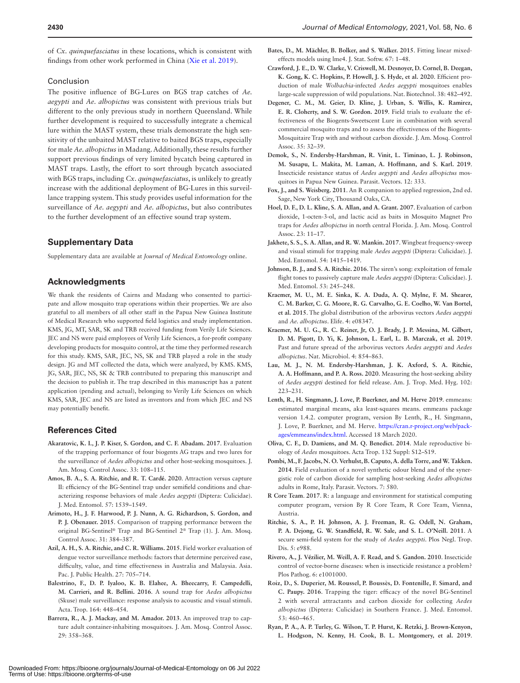of *Cx. quinquefasciatus* in these locations, which is consistent with findings from other work performed in China ([Xie et al. 2019\)](#page-7-8).

#### Conclusion

The positive influence of BG-Lures on BGS trap catches of *Ae. aegypti* and *Ae. albopictus* was consistent with previous trials but different to the only previous study in northern Queensland. While further development is required to successfully integrate a chemical lure within the MAST system, these trials demonstrate the high sensitivity of the unbaited MAST relative to baited BGS traps, especially for male *Ae. albopictus* in Madang. Additionally, these results further support previous findings of very limited bycatch being captured in MAST traps. Lastly, the effort to sort through bycatch associated with BGS traps, including *Cx. quinquefasciatus*, is unlikely to greatly increase with the additional deployment of BG-Lures in this surveillance trapping system. This study provides useful information for the surveillance of *Ae. aegypti* and *Ae. albopictus*, but also contributes to the further development of an effective sound trap system.

# **Supplementary Data**

Supplementary data are available at *Journal of Medical Entomology* online.

#### **Acknowledgments**

We thank the residents of Cairns and Madang who consented to participate and allow mosquito trap operations within their properties. We are also grateful to all members of all other staff in the Papua New Guinea Institute of Medical Research who supported field logistics and study implementation. KMS, JG, MT, SAR, SK and TRB received funding from Verily Life Sciences. JEC and NS were paid employees of Verily Life Sciences, a for-profit company developing products for mosquito control, at the time they performed research for this study. KMS, SAR, JEC, NS, SK and TRB played a role in the study design. JG and MT collected the data, which were analyzed, by KMS. KMS, JG, SAR, JEC, NS, SK & TRB contributed to preparing this manuscript and the decision to publish it. The trap described in this manuscript has a patent application (pending and actual), belonging to Verily Life Sciences on which KMS, SAR, JEC and NS are listed as inventors and from which JEC and NS may potentially benefit.

## **References Cited**

- <span id="page-6-2"></span>**Akaratovic, K. I., J. P. Kiser, S. Gordon, and C. F. Abadam. 2017**. Evaluation of the trapping performance of four biogents AG traps and two lures for the surveillance of *Aedes albopictus* and other host-seeking mosquitoes. J. Am. Mosq. Control Assoc. 33: 108–115.
- <span id="page-6-11"></span>**Amos, B. A., S. A. Ritchie, and R. T. Cardé. 2020**. Attraction versus capture II: efficiency of the BG-Sentinel trap under semifield conditions and characterizing response behaviors of male *Aedes aegypti* (Diptera: Culicidae). J. Med. Entomol. 57: 1539–1549.
- <span id="page-6-10"></span>**Arimoto, H., J. F. Harwood, P. J. Nunn, A. G. Richardson, S. Gordon, and P. J. Obenauer. 2015**. Comparison of trapping performance between the original BG-Sentinel® Trap and BG-Sentinel 2® Trap (1). J. Am. Mosq. Control Assoc. 31: 384–387.
- <span id="page-6-3"></span>**Azil, A. H., S. A. Ritchie, and C. R. Williams. 2015**. Field worker evaluation of dengue vector surveillance methods: factors that determine perceived ease, difficulty, value, and time effectiveness in Australia and Malaysia. Asia. Pac. J. Public Health. 27: 705–714.
- <span id="page-6-14"></span>**Balestrino, F., D. P. Iyaloo, K. B. Elahee, A. Bheecarry, F. Campedelli, M. Carrieri, and R. Bellini. 2016**. A sound trap for *Aedes albopictus* (Skuse) male surveillance: response analysis to acoustic and visual stimuli. Acta. Trop. 164: 448–454.
- <span id="page-6-9"></span>**Barrera, R., A. J. Mackay, and M. Amador. 2013**. An improved trap to capture adult container-inhabiting mosquitoes. J. Am. Mosq. Control Assoc. 29: 358–368.
- <span id="page-6-20"></span>**Bates, D., M. Mächler, B. Bolker, and S. Walker. 2015**. Fitting linear mixedeffects models using lme4. J. Stat. Softw. 67: 1–48.
- <span id="page-6-12"></span>**Crawford, J. E., D. W. Clarke, V. Criswell, M. Desnoyer, D. Cornel, B. Deegan, K. Gong, K. C. Hopkins, P. Howell, J. S. Hyde, et al. 2020**. Efficient production of male *Wolbachia*-infected *Aedes aegypti* mosquitoes enables large-scale suppression of wild populations. Nat. Biotechnol. 38: 482–492.
- <span id="page-6-7"></span>**Degener, C. M., M. Geier, D. Kline, J. Urban, S. Willis, K. Ramirez, E. R. Cloherty, and S. W. Gordon. 2019**. Field trials to evaluate the effectiveness of the Biogents-Sweetscent Lure in combination with several commercial mosquito traps and to assess the effectiveness of the Biogents-Mosquitaire Trap with and without carbon dioxide. J. Am. Mosq. Control Assoc. 35: 32–39.
- <span id="page-6-18"></span>**Demok, S., N. Endersby-Harshman, R. Vinit, L. Timinao, L. J. Robinson, M. Susapu, L. Makita, M. Laman, A. Hoffmann, and S. Karl. 2019**. Insecticide resistance status of *Aedes aegypti* and *Aedes albopictus* mosquitoes in Papua New Guinea. Parasit. Vectors. 12: 333.
- <span id="page-6-21"></span>**Fox, J., and S. Weisberg. 2011**. An R companion to applied regression, 2nd ed. Sage, New York City, Thousand Oaks, CA.
- <span id="page-6-6"></span>**Hoel, D. F., D. L. Kline, S. A. Allan, and A. Grant. 2007**. Evaluation of carbon dioxide, 1-octen-3-ol, and lactic acid as baits in Mosquito Magnet Pro traps for *Aedes albopictus* in north central Florida. J. Am. Mosq. Control Assoc. 23: 11–17.
- <span id="page-6-15"></span>**Jakhete, S. S., S. A. Allan, and R. W. Mankin. 2017**. Wingbeat frequency-sweep and visual stimuli for trapping male *Aedes aegypti* (Diptera: Culicidae). J. Med. Entomol. 54: 1415–1419.
- <span id="page-6-13"></span>**Johnson, B. J., and S. A. Ritchie. 2016**. The siren's song: exploitation of female flight tones to passively capture male *Aedes aegypti* (Diptera: Culicidae). J. Med. Entomol. 53: 245–248.
- <span id="page-6-0"></span>**Kraemer, M. U., M. E. Sinka, K. A. Duda, A. Q. Mylne, F. M. Shearer, C. M. Barker, C. G. Moore, R. G. Carvalho, G. E. Coelho, W. Van Bortel, et al. 2015**. The global distribution of the arbovirus vectors *Aedes aegypti* and *Ae. albopictus*. Elife. 4: e08347.
- <span id="page-6-1"></span>**Kraemer, M. U. G., R. C. Reiner, Jr, O. J. Brady, J. P. Messina, M. Gilbert, D. M. Pigott, D. Yi, K. Johnson, L. Earl, L. B. Marczak, et al. 2019**. Past and future spread of the arbovirus vectors *Aedes aegypti* and *Aedes albopictus*. Nat. Microbiol. 4: 854–863.
- <span id="page-6-23"></span>**Lau, M. J., N. M. Endersby-Harshman, J. K. Axford, S. A. Ritchie, A. A. Hoffmann, and P. A. Ross. 2020**. Measuring the host-seeking ability of *Aedes aegypti* destined for field release. Am. J. Trop. Med. Hyg. 102: 223–231.
- <span id="page-6-22"></span>**Lenth, R., H. Singmann, J. Love, P. Buerkner, and M. Herve 2019**. emmeans: estimated marginal means, aka least-squares means. emmeans package version 1.4.2. computer program, version By Lenth, R., H. Singmann, J. Love, P. Buerkner, and M. Herve. [https://cran.r-project.org/web/pack](https://cran.r-project.org/web/packages/emmeans/index.html﻿)[ages/emmeans/index.html](https://cran.r-project.org/web/packages/emmeans/index.html﻿). Accessed 18 March 2020.
- <span id="page-6-8"></span>**Oliva, C. F., D. Damiens, and M. Q. Benedict. 2014**. Male reproductive biology of *Aedes* mosquitoes. Acta Trop. 132 Suppl: S12–S19.
- <span id="page-6-4"></span>**Pombi, M., F. Jacobs, N. O. Verhulst, B. Caputo, A. della Torre, and W. Takken. 2014**. Field evaluation of a novel synthetic odour blend and of the synergistic role of carbon dioxide for sampling host-seeking *Aedes albopictus* adults in Rome, Italy. Parasit. Vectors. 7: 580.
- <span id="page-6-19"></span>**R Core Team**. **2017**. R: a language and environment for statistical computing computer program, version By R Core Team, R Core Team, Vienna, Austria.
- <span id="page-6-16"></span>**Ritchie, S. A., P. H. Johnson, A. J. Freeman, R. G. Odell, N. Graham, P. A. Dejong, G. W. Standfield, R. W. Sale, and S. L. O'Neill. 2011**. A secure semi-field system for the study of *Aedes aegypti*. Plos Negl. Trop. Dis. 5: e988.
- <span id="page-6-24"></span>**Rivero, A., J. Vézilier, M. Weill, A. F. Read, and S. Gandon. 2010**. Insecticide control of vector-borne diseases: when is insecticide resistance a problem? Plos Pathog. 6: e1001000.
- <span id="page-6-5"></span>**Roiz, D., S. Duperier, M. Roussel, P. Boussès, D. Fontenille, F. Simard, and C. Paupy. 2016**. Trapping the tiger: efficacy of the novel BG-Sentinel 2 with several attractants and carbon dioxide for collecting *Aedes albopictus* (Diptera: Culicidae) in Southern France. J. Med. Entomol. 53: 460–465.
- <span id="page-6-17"></span>**Ryan, P. A., A. P. Turley, G. Wilson, T. P. Hurst, K. Retzki, J. Brown-Kenyon, L. Hodgson, N. Kenny, H. Cook, B. L. Montgomery, et al. 2019**.